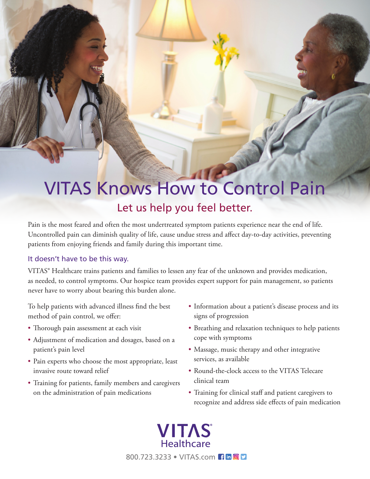# VITAS Knows How to Control Pain Let us help you feel better.

Pain is the most feared and often the most undertreated symptom patients experience near the end of life. Uncontrolled pain can diminish quality of life, cause undue stress and affect day-to-day activities, preventing patients from enjoying friends and family during this important time.

### It doesn't have to be this way.

VITAS® Healthcare trains patients and families to lessen any fear of the unknown and provides medication, as needed, to control symptoms. Our hospice team provides expert support for pain management, so patients never have to worry about bearing this burden alone.

To help patients with advanced illness find the best method of pain control, we offer:

- Thorough pain assessment at each visit
- Adjustment of medication and dosages, based on a patient's pain level
- Pain experts who choose the most appropriate, least invasive route toward relief
- Training for patients, family members and caregivers on the administration of pain medications
- Information about a patient's disease process and its signs of progression
- Breathing and relaxation techniques to help patients cope with symptoms
- Massage, music therapy and other integrative services, as available
- Round-the-clock access to the VITAS Telecare clinical team
- Training for clinical staff and patient caregivers to recognize and address side effects of pain medication

**VITAS**<sup>®</sup><br>Healthcare 800.723.3233 ● VITAS.com